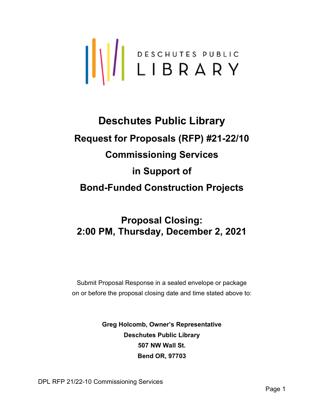

# Deschutes Public Library Request for Proposals (RFP) #21-22/10 Commissioning Services in Support of Bond-Funded Construction Projects

# Proposal Closing: 2:00 PM, Thursday, December 2, 2021

Submit Proposal Response in a sealed envelope or package on or before the proposal closing date and time stated above to:

> Greg Holcomb, Owner's Representative Deschutes Public Library 507 NW Wall St. Bend OR, 97703

DPL RFP 21/22-10 Commissioning Services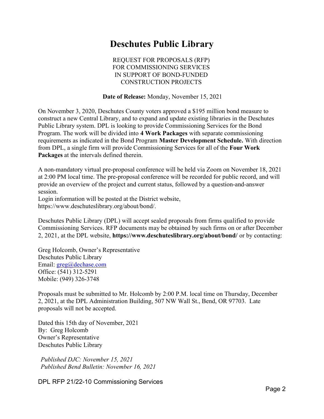# Deschutes Public Library

REQUEST FOR PROPOSALS (RFP) FOR COMMISSIONING SERVICES IN SUPPORT OF BOND-FUNDED CONSTRUCTION PROJECTS

Date of Release: Monday, November 15, 2021

On November 3, 2020, Deschutes County voters approved a \$195 million bond measure to construct a new Central Library, and to expand and update existing libraries in the Deschutes Public Library system. DPL is looking to provide Commissioning Services for the Bond Program. The work will be divided into 4 Work Packages with separate commissioning requirements as indicated in the Bond Program Master Development Schedule. With direction from DPL, a single firm will provide Commissioning Services for all of the Four Work Packages at the intervals defined therein.

A non-mandatory virtual pre-proposal conference will be held via Zoom on November 18, 2021 at 2:00 PM local time. The pre-proposal conference will be recorded for public record, and will provide an overview of the project and current status, followed by a question-and-answer session.

Login information will be posted at the District website,

https://www.deschuteslibrary.org/about/bond/.

Deschutes Public Library (DPL) will accept sealed proposals from firms qualified to provide Commissioning Services. RFP documents may be obtained by such firms on or after December 2, 2021, at the DPL website, https://www.deschuteslibrary.org/about/bond/ or by contacting:

Greg Holcomb, Owner's Representative Deschutes Public Library Email: greg@dechase.com Office: (541) 312-5291 Mobile: (949) 326-3748

Proposals must be submitted to Mr. Holcomb by 2:00 P.M. local time on Thursday, December 2, 2021, at the DPL Administration Building, 507 NW Wall St., Bend, OR 97703. Late proposals will not be accepted.

Dated this 15th day of November, 2021 By: Greg Holcomb Owner's Representative Deschutes Public Library

Published DJC: November 15, 2021 Published Bend Bulletin: November 16, 2021

DPL RFP 21/22-10 Commissioning Services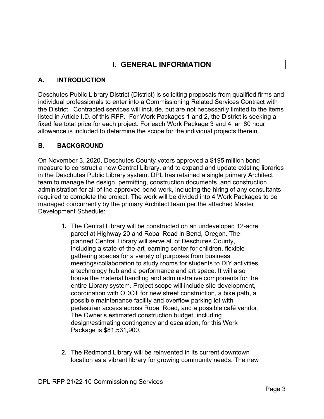# I. GENERAL INFORMATION

#### A. INTRODUCTION

Deschutes Public Library District (District) is soliciting proposals from qualified firms and individual professionals to enter into a Commissioning Related Services Contract with the District. Contracted services will include, but are not necessarily limited to the items listed in Article I.D. of this RFP. For Work Packages 1 and 2, the District is seeking a fixed fee total price for each project. For each Work Package 3 and 4, an 80 hour allowance is included to determine the scope for the individual projects therein.

#### B. BACKGROUND

On November 3, 2020, Deschutes County voters approved a \$195 million bond measure to construct a new Central Library, and to expand and update existing libraries in the Deschutes Public Library system. DPL has retained a single primary Architect team to manage the design, permitting, construction documents, and construction administration for all of the approved bond work, including the hiring of any consultants required to complete the project. The work will be divided into 4 Work Packages to be managed concurrently by the primary Architect team per the attached Master Development Schedule:

- 1. The Central Library will be constructed on an undeveloped 12-acre parcel at Highway 20 and Robal Road in Bend, Oregon. The planned Central Library will serve all of Deschutes County, including a state-of-the-art learning center for children, flexible gathering spaces for a variety of purposes from business meetings/collaboration to study rooms for students to DIY activities, a technology hub and a performance and art space. It will also house the material handling and administrative components for the entire Library system. Project scope will include site development, coordination with ODOT for new street construction, a bike path, a possible maintenance facility and overflow parking lot with pedestrian access across Robal Road, and a possible café vendor. The Owner's estimated construction budget, including design/estimating contingency and escalation, for this Work Package is \$81,531,900.
- 2. The Redmond Library will be reinvented in its current downtown location as a vibrant library for growing community needs. The new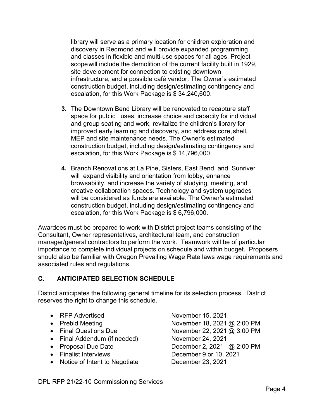library will serve as a primary location for children exploration and discovery in Redmond and will provide expanded programming and classes in flexible and multi-use spaces for all ages. Project scope will include the demolition of the current facility built in 1929, site development for connection to existing downtown infrastructure, and a possible café vendor. The Owner's estimated construction budget, including design/estimating contingency and escalation, for this Work Package is \$ 34,240,600.

- 3. The Downtown Bend Library will be renovated to recapture staff space for public uses, increase choice and capacity for individual and group seating and work, revitalize the children's library for improved early learning and discovery, and address core, shell, MEP and site maintenance needs. The Owner's estimated construction budget, including design/estimating contingency and escalation, for this Work Package is \$ 14,796,000.
- 4. Branch Renovations at La Pine, Sisters, East Bend, and Sunriver will expand visibility and orientation from lobby, enhance browsability, and increase the variety of studying, meeting, and creative collaboration spaces. Technology and system upgrades will be considered as funds are available. The Owner's estimated construction budget, including design/estimating contingency and escalation, for this Work Package is \$ 6,796,000.

Awardees must be prepared to work with District project teams consisting of the Consultant, Owner representatives, architectural team, and construction manager/general contractors to perform the work. Teamwork will be of particular importance to complete individual projects on schedule and within budget. Proposers should also be familiar with Oregon Prevailing Wage Rate laws wage requirements and associated rules and regulations.

#### C. ANTICIPATED SELECTION SCHEDULE

District anticipates the following general timeline for its selection process. District reserves the right to change this schedule.

- RFP Advertised November 15, 2021
- 
- 
- Final Addendum (if needed) November 24, 2021
- 
- 
- Notice of Intent to Negotiate December 23, 2021

• Prebid Meeting November 18, 2021 @ 2:00 PM • Final Questions Due  $\sim$  November 22, 2021 @ 3:00 PM • Proposal Due Date December 2, 2021 @ 2:00 PM Finalist Interviews December 9 or 10, 2021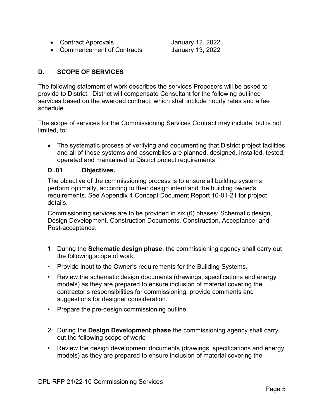• Contract Approvals January 12, 2022

• Commencement of Contracts January 13, 2022

D. SCOPE OF SERVICES

The following statement of work describes the services Proposers will be asked to provide to District. District will compensate Consultant for the following outlined services based on the awarded contract, which shall include hourly rates and a fee schedule.

The scope of services for the Commissioning Services Contract may include, but is not limited, to:

 The systematic process of verifying and documenting that District project facilities and all of those systems and assemblies are planned, designed, installed, tested, operated and maintained to District project requirements.

#### D .01 Objectives.

The objective of the commissioning process is to ensure all building systems perform optimally, according to their design intent and the building owner's requirements. See Appendix 4 Concept Document Report 10-01-21 for project details.

Commissioning services are to be provided in six (6) phases: Schematic design, Design Development, Construction Documents, Construction, Acceptance, and Post-acceptance.

- 1. During the Schematic design phase, the commissioning agency shall carry out the following scope of work:
- Provide input to the Owner's requirements for the Building Systems.
- Review the schematic design documents (drawings, specifications and energy models) as they are prepared to ensure inclusion of material covering the contractor's responsibilities for commissioning; provide comments and suggestions for designer consideration.
- Prepare the pre-design commissioning outline.
- 2. During the Design Development phase the commissioning agency shall carry out the following scope of work:
- Review the design development documents (drawings, specifications and energy models) as they are prepared to ensure inclusion of material covering the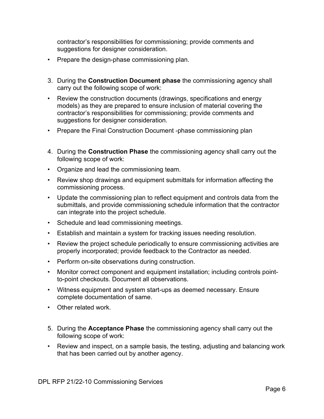contractor's responsibilities for commissioning; provide comments and suggestions for designer consideration.

- Prepare the design-phase commissioning plan.
- 3. During the Construction Document phase the commissioning agency shall carry out the following scope of work:
- Review the construction documents (drawings, specifications and energy models) as they are prepared to ensure inclusion of material covering the contractor's responsibilities for commissioning; provide comments and suggestions for designer consideration.
- Prepare the Final Construction Document -phase commissioning plan
- 4. During the **Construction Phase** the commissioning agency shall carry out the following scope of work:
- Organize and lead the commissioning team.
- Review shop drawings and equipment submittals for information affecting the commissioning process.
- Update the commissioning plan to reflect equipment and controls data from the submittals, and provide commissioning schedule information that the contractor can integrate into the project schedule.
- Schedule and lead commissioning meetings.
- Establish and maintain a system for tracking issues needing resolution.
- Review the project schedule periodically to ensure commissioning activities are properly incorporated; provide feedback to the Contractor as needed.
- Perform on-site observations during construction.
- Monitor correct component and equipment installation; including controls pointto-point checkouts. Document all observations.
- Witness equipment and system start-ups as deemed necessary. Ensure complete documentation of same.
- Other related work.
- 5. During the **Acceptance Phase** the commissioning agency shall carry out the following scope of work:
- Review and inspect, on a sample basis, the testing, adjusting and balancing work that has been carried out by another agency.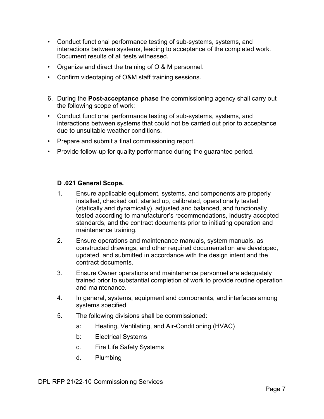- Conduct functional performance testing of sub-systems, systems, and interactions between systems, leading to acceptance of the completed work. Document results of all tests witnessed.
- Organize and direct the training of O & M personnel.
- Confirm videotaping of O&M staff training sessions.
- 6. During the **Post-acceptance phase** the commissioning agency shall carry out the following scope of work:
- Conduct functional performance testing of sub-systems, systems, and interactions between systems that could not be carried out prior to acceptance due to unsuitable weather conditions.
- Prepare and submit a final commissioning report.
- Provide follow-up for quality performance during the guarantee period.

#### D .021 General Scope.

- 1. Ensure applicable equipment, systems, and components are properly installed, checked out, started up, calibrated, operationally tested (statically and dynamically), adjusted and balanced, and functionally tested according to manufacturer's recommendations, industry accepted standards, and the contract documents prior to initiating operation and maintenance training.
- 2. Ensure operations and maintenance manuals, system manuals, as constructed drawings, and other required documentation are developed, updated, and submitted in accordance with the design intent and the contract documents.
- 3. Ensure Owner operations and maintenance personnel are adequately trained prior to substantial completion of work to provide routine operation and maintenance.
- 4. In general, systems, equipment and components, and interfaces among systems specified
- 5. The following divisions shall be commissioned:
	- a: Heating, Ventilating, and Air-Conditioning (HVAC)
	- b: Electrical Systems
	- c. Fire Life Safety Systems
	- d. Plumbing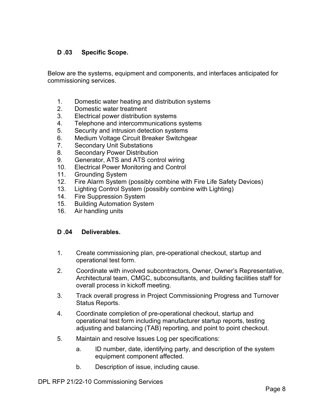#### D .03 Specific Scope.

Below are the systems, equipment and components, and interfaces anticipated for commissioning services.

- 1. Domestic water heating and distribution systems
- 2. Domestic water treatment
- 3. Electrical power distribution systems
- 4. Telephone and intercommunications systems
- 5. Security and intrusion detection systems
- 6. Medium Voltage Circuit Breaker Switchgear
- 7. Secondary Unit Substations
- 8. Secondary Power Distribution
- 9. Generator, ATS and ATS control wiring
- 10. Electrical Power Monitoring and Control
- 11. Grounding System
- 12. Fire Alarm System (possibly combine with Fire Life Safety Devices)
- 13. Lighting Control System (possibly combine with Lighting)
- 14. Fire Suppression System
- 15. Building Automation System
- 16. Air handling units

#### D .04 Deliverables.

- 1. Create commissioning plan, pre-operational checkout, startup and operational test form.
- 2. Coordinate with involved subcontractors, Owner, Owner's Representative, Architectural team, CMGC, subconsultants, and building facilities staff for overall process in kickoff meeting.
- 3. Track overall progress in Project Commissioning Progress and Turnover Status Reports.
- 4. Coordinate completion of pre-operational checkout, startup and operational test form including manufacturer startup reports, testing adjusting and balancing (TAB) reporting, and point to point checkout.
- 5. Maintain and resolve Issues Log per specifications:
	- a. ID number, date, identifying party, and description of the system equipment component affected.
	- b. Description of issue, including cause.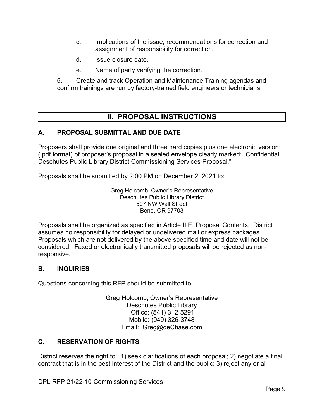- c. Implications of the issue, recommendations for correction and assignment of responsibility for correction.
- d. Issue closure date.
- e. Name of party verifying the correction.

6. Create and track Operation and Maintenance Training agendas and confirm trainings are run by factory-trained field engineers or technicians.

## II. PROPOSAL INSTRUCTIONS

#### A. PROPOSAL SUBMITTAL AND DUE DATE

Proposers shall provide one original and three hard copies plus one electronic version (.pdf format) of proposer's proposal in a sealed envelope clearly marked: "Confidential: Deschutes Public Library District Commissioning Services Proposal."

Proposals shall be submitted by 2:00 PM on December 2, 2021 to:

Greg Holcomb, Owner's Representative Deschutes Public Library District 507 NW Wall Street Bend, OR 97703

Proposals shall be organized as specified in Article II.E, Proposal Contents. District assumes no responsibility for delayed or undelivered mail or express packages. Proposals which are not delivered by the above specified time and date will not be considered. Faxed or electronically transmitted proposals will be rejected as nonresponsive.

#### B. INQUIRIES

Questions concerning this RFP should be submitted to:

Greg Holcomb, Owner's Representative Deschutes Public Library Office: (541) 312-5291 Mobile: (949) 326-3748 Email: Greg@deChase.com

#### C. RESERVATION OF RIGHTS

District reserves the right to: 1) seek clarifications of each proposal; 2) negotiate a final contract that is in the best interest of the District and the public; 3) reject any or all

DPL RFP 21/22-10 Commissioning Services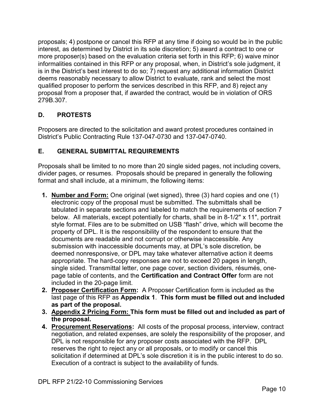proposals; 4) postpone or cancel this RFP at any time if doing so would be in the public interest, as determined by District in its sole discretion; 5) award a contract to one or more proposer(s) based on the evaluation criteria set forth in this RFP; 6) waive minor informalities contained in this RFP or any proposal, when, in District's sole judgment, it is in the District's best interest to do so; 7) request any additional information District deems reasonably necessary to allow District to evaluate, rank and select the most qualified proposer to perform the services described in this RFP, and 8) reject any proposal from a proposer that, if awarded the contract, would be in violation of ORS 279B.307.

### D. PROTESTS

Proposers are directed to the solicitation and award protest procedures contained in District's Public Contracting Rule 137-047-0730 and 137-047-0740.

#### E. GENERAL SUBMITTAL REQUIREMENTS

Proposals shall be limited to no more than 20 single sided pages, not including covers, divider pages, or resumes. Proposals should be prepared in generally the following format and shall include, at a minimum, the following items:

- 1. Number and Form: One original (wet signed), three (3) hard copies and one (1) electronic copy of the proposal must be submitted. The submittals shall be tabulated in separate sections and labeled to match the requirements of section 7 below. All materials, except potentially for charts, shall be in 8-1/2" x 11", portrait style format. Files are to be submitted on USB "flash" drive, which will become the property of DPL. It is the responsibility of the respondent to ensure that the documents are readable and not corrupt or otherwise inaccessible. Any submission with inaccessible documents may, at DPL's sole discretion, be deemed nonresponsive, or DPL may take whatever alternative action it deems appropriate. The hard-copy responses are not to exceed 20 pages in length, single sided. Transmittal letter, one page cover, section dividers, résumés, onepage table of contents, and the Certification and Contract Offer form are not included in the 20-page limit.
- 2. Proposer Certification Form: A Proposer Certification form is included as the last page of this RFP as Appendix 1. This form must be filled out and included as part of the proposal.
- 3. Appendix 2 Pricing Form: This form must be filled out and included as part of the proposal.
- 4. Procurement Reservations: All costs of the proposal process, interview, contract negotiation, and related expenses, are solely the responsibility of the proposer, and DPL is not responsible for any proposer costs associated with the RFP. DPL reserves the right to reject any or all proposals, or to modify or cancel this solicitation if determined at DPL's sole discretion it is in the public interest to do so. Execution of a contract is subject to the availability of funds.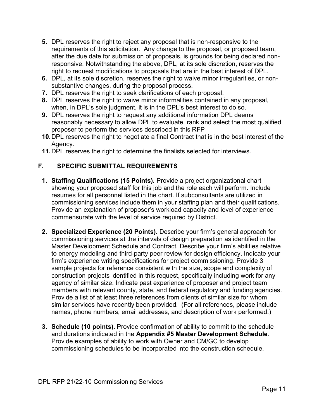- 5. DPL reserves the right to reject any proposal that is non-responsive to the requirements of this solicitation. Any change to the proposal, or proposed team, after the due date for submission of proposals, is grounds for being declared nonresponsive. Notwithstanding the above, DPL, at its sole discretion, reserves the right to request modifications to proposals that are in the best interest of DPL.
- 6. DPL, at its sole discretion, reserves the right to waive minor irregularities, or nonsubstantive changes, during the proposal process.
- 7. DPL reserves the right to seek clarifications of each proposal.
- 8. DPL reserves the right to waive minor informalities contained in any proposal, when, in DPL's sole judgment, it is in the DPL's best interest to do so.
- 9. DPL reserves the right to request any additional information DPL deems reasonably necessary to allow DPL to evaluate, rank and select the most qualified proposer to perform the services described in this RFP
- 10. DPL reserves the right to negotiate a final Contract that is in the best interest of the Agency.
- 11. DPL reserves the right to determine the finalists selected for interviews.

#### F. SPECIFIC SUBMITTAL REQUIREMENTS

- 1. Staffing Qualifications (15 Points). Provide a project organizational chart showing your proposed staff for this job and the role each will perform. Include resumes for all personnel listed in the chart. If subconsultants are utilized in commissioning services include them in your staffing plan and their qualifications. Provide an explanation of proposer's workload capacity and level of experience commensurate with the level of service required by District.
- 2. Specialized Experience (20 Points). Describe your firm's general approach for commissioning services at the intervals of design preparation as identified in the Master Development Schedule and Contract. Describe your firm's abilities relative to energy modeling and third-party peer review for design efficiency. Indicate your firm's experience writing specifications for project commissioning. Provide 3 sample projects for reference consistent with the size, scope and complexity of construction projects identified in this request, specifically including work for any agency of similar size. Indicate past experience of proposer and project team members with relevant county, state, and federal regulatory and funding agencies. Provide a list of at least three references from clients of similar size for whom similar services have recently been provided. (For all references, please include names, phone numbers, email addresses, and description of work performed.)
- 3. Schedule (10 points). Provide confirmation of ability to commit to the schedule and durations indicated in the Appendix #5 Master Development Schedule. Provide examples of ability to work with Owner and CM/GC to develop commissioning schedules to be incorporated into the construction schedule.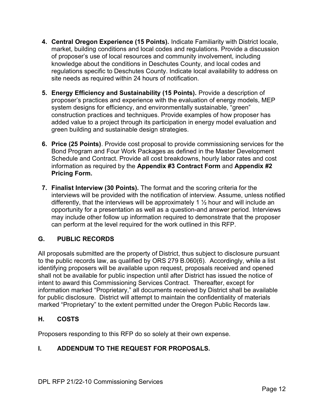- 4. Central Oregon Experience (15 Points). Indicate Familiarity with District locale, market, building conditions and local codes and regulations. Provide a discussion of proposer's use of local resources and community involvement, including knowledge about the conditions in Deschutes County, and local codes and regulations specific to Deschutes County. Indicate local availability to address on site needs as required within 24 hours of notification.
- 5. Energy Efficiency and Sustainability (15 Points). Provide a description of proposer's practices and experience with the evaluation of energy models, MEP system designs for efficiency, and environmentally sustainable, "green" construction practices and techniques. Provide examples of how proposer has added value to a project through its participation in energy model evaluation and green building and sustainable design strategies.
- 6. Price (25 Points). Provide cost proposal to provide commissioning services for the Bond Program and Four Work Packages as defined in the Master Development Schedule and Contract. Provide all cost breakdowns, hourly labor rates and cost information as required by the Appendix #3 Contract Form and Appendix #2 Pricing Form.
- 7. Finalist Interview (30 Points). The format and the scoring criteria for the interviews will be provided with the notification of interview. Assume, unless notified differently, that the interviews will be approximately 1  $\frac{1}{2}$  hour and will include an opportunity for a presentation as well as a question-and answer period. Interviews may include other follow up information required to demonstrate that the proposer can perform at the level required for the work outlined in this RFP.

#### G. PUBLIC RECORDS

All proposals submitted are the property of District, thus subject to disclosure pursuant to the public records law, as qualified by ORS 279 B.060(6). Accordingly, while a list identifying proposers will be available upon request, proposals received and opened shall not be available for public inspection until after District has issued the notice of intent to award this Commissioning Services Contract. Thereafter, except for information marked "Proprietary," all documents received by District shall be available for public disclosure. District will attempt to maintain the confidentiality of materials marked "Proprietary" to the extent permitted under the Oregon Public Records law.

#### H. COSTS

Proposers responding to this RFP do so solely at their own expense.

#### I. ADDENDUM TO THE REQUEST FOR PROPOSALS.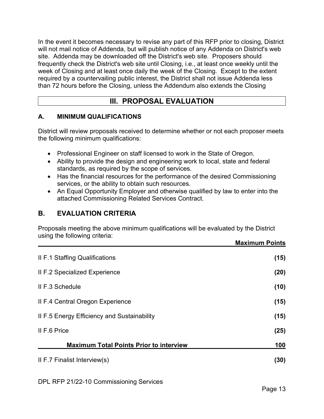In the event it becomes necessary to revise any part of this RFP prior to closing, District will not mail notice of Addenda, but will publish notice of any Addenda on District's web site. Addenda may be downloaded off the District's web site. Proposers should frequently check the District's web site until Closing, i.e., at least once weekly until the week of Closing and at least once daily the week of the Closing. Except to the extent required by a countervailing public interest, the District shall not issue Addenda less than 72 hours before the Closing, unless the Addendum also extends the Closing

## III. PROPOSAL EVALUATION

#### A. MINIMUM QUALIFICATIONS

District will review proposals received to determine whether or not each proposer meets the following minimum qualifications:

- Professional Engineer on staff licensed to work in the State of Oregon.
- Ability to provide the design and engineering work to local, state and federal standards, as required by the scope of services.
- Has the financial resources for the performance of the desired Commissioning services, or the ability to obtain such resources.
- An Equal Opportunity Employer and otherwise qualified by law to enter into the attached Commissioning Related Services Contract.

## B. EVALUATION CRITERIA

Proposals meeting the above minimum qualifications will be evaluated by the District using the following criteria:

|                                                | <b>Maximum Points</b> |
|------------------------------------------------|-----------------------|
| Il F.1 Staffing Qualifications                 | (15)                  |
| <b>II F.2 Specialized Experience</b>           | (20)                  |
| II F.3 Schedule                                | (10)                  |
| Il F.4 Central Oregon Experience               | (15)                  |
| II F.5 Energy Efficiency and Sustainability    | (15)                  |
| II F.6 Price                                   | (25)                  |
| <b>Maximum Total Points Prior to interview</b> | 100                   |
| II F.7 Finalist Interview(s)                   | (30)                  |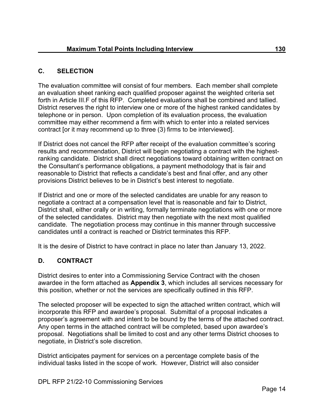#### C. SELECTION

The evaluation committee will consist of four members. Each member shall complete an evaluation sheet ranking each qualified proposer against the weighted criteria set forth in Article III.F of this RFP. Completed evaluations shall be combined and tallied. District reserves the right to interview one or more of the highest ranked candidates by telephone or in person. Upon completion of its evaluation process, the evaluation committee may either recommend a firm with which to enter into a related services contract [or it may recommend up to three (3) firms to be interviewed].

If District does not cancel the RFP after receipt of the evaluation committee's scoring results and recommendation, District will begin negotiating a contract with the highestranking candidate. District shall direct negotiations toward obtaining written contract on the Consultant's performance obligations, a payment methodology that is fair and reasonable to District that reflects a candidate's best and final offer, and any other provisions District believes to be in District's best interest to negotiate.

If District and one or more of the selected candidates are unable for any reason to negotiate a contract at a compensation level that is reasonable and fair to District, District shall, either orally or in writing, formally terminate negotiations with one or more of the selected candidates. District may then negotiate with the next most qualified candidate. The negotiation process may continue in this manner through successive candidates until a contract is reached or District terminates this RFP.

It is the desire of District to have contract in place no later than January 13, 2022.

#### D. CONTRACT

District desires to enter into a Commissioning Service Contract with the chosen awardee in the form attached as Appendix 3, which includes all services necessary for this position, whether or not the services are specifically outlined in this RFP.

The selected proposer will be expected to sign the attached written contract, which will incorporate this RFP and awardee's proposal. Submittal of a proposal indicates a proposer's agreement with and intent to be bound by the terms of the attached contract. Any open terms in the attached contract will be completed, based upon awardee's proposal. Negotiations shall be limited to cost and any other terms District chooses to negotiate, in District's sole discretion.

District anticipates payment for services on a percentage complete basis of the individual tasks listed in the scope of work. However, District will also consider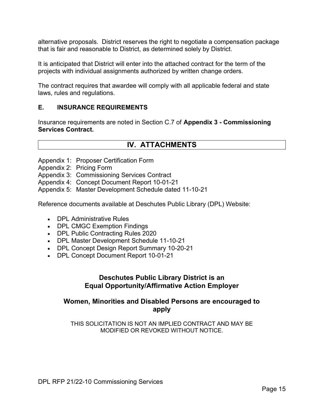alternative proposals. District reserves the right to negotiate a compensation package that is fair and reasonable to District, as determined solely by District.

It is anticipated that District will enter into the attached contract for the term of the projects with individual assignments authorized by written change orders.

The contract requires that awardee will comply with all applicable federal and state laws, rules and regulations.

#### E. INSURANCE REQUIREMENTS

Insurance requirements are noted in Section C.7 of Appendix 3 - Commissioning Services Contract.

### IV. ATTACHMENTS

- Appendix 1: Proposer Certification Form
- Appendix 2: Pricing Form

Appendix 3: Commissioning Services Contract

- Appendix 4: Concept Document Report 10-01-21
- Appendix 5: Master Development Schedule dated 11-10-21

Reference documents available at Deschutes Public Library (DPL) Website:

- DPL Administrative Rules
- DPL CMGC Exemption Findings
- DPL Public Contracting Rules 2020
- DPL Master Development Schedule 11-10-21
- DPL Concept Design Report Summary 10-20-21
- DPL Concept Document Report 10-01-21

#### Deschutes Public Library District is an Equal Opportunity/Affirmative Action Employer

#### Women, Minorities and Disabled Persons are encouraged to apply

THIS SOLICITATION IS NOT AN IMPLIED CONTRACT AND MAY BE MODIFIED OR REVOKED WITHOUT NOTICE.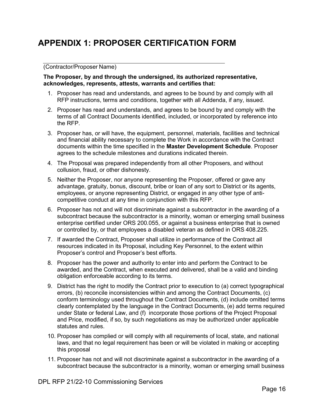# APPENDIX 1: PROPOSER CERTIFICATION FORM

#### (Contractor/Proposer Name)

#### The Proposer, by and through the undersigned, its authorized representative, acknowledges, represents, attests, warrants and certifies that:

- 1. Proposer has read and understands, and agrees to be bound by and comply with all RFP instructions, terms and conditions, together with all Addenda, if any, issued.
- 2. Proposer has read and understands, and agrees to be bound by and comply with the terms of all Contract Documents identified, included, or incorporated by reference into the RFP.
- 3. Proposer has, or will have, the equipment, personnel, materials, facilities and technical and financial ability necessary to complete the Work in accordance with the Contract documents within the time specified in the Master Development Schedule. Proposer agrees to the schedule milestones and durations indicated therein.
- 4. The Proposal was prepared independently from all other Proposers, and without collusion, fraud, or other dishonesty.
- 5. Neither the Proposer, nor anyone representing the Proposer, offered or gave any advantage, gratuity, bonus, discount, bribe or loan of any sort to District or its agents, employees, or anyone representing District, or engaged in any other type of anticompetitive conduct at any time in conjunction with this RFP.
- 6. Proposer has not and will not discriminate against a subcontractor in the awarding of a subcontract because the subcontractor is a minority, woman or emerging small business enterprise certified under ORS 200.055, or against a business enterprise that is owned or controlled by, or that employees a disabled veteran as defined in ORS 408.225.
- 7. If awarded the Contract, Proposer shall utilize in performance of the Contract all resources indicated in its Proposal, including Key Personnel, to the extent within Proposer's control and Proposer's best efforts.
- 8. Proposer has the power and authority to enter into and perform the Contract to be awarded, and the Contract, when executed and delivered, shall be a valid and binding obligation enforceable according to its terms.
- 9. District has the right to modify the Contract prior to execution to (a) correct typographical errors, (b) reconcile inconsistencies within and among the Contract Documents, (c) conform terminology used throughout the Contract Documents, (d) include omitted terms clearly contemplated by the language in the Contract Documents, (e) add terms required under State or federal Law, and (f) incorporate those portions of the Project Proposal and Price, modified, if so, by such negotiations as may be authorized under applicable statutes and rules.
- 10. Proposer has complied or will comply with all requirements of local, state, and national laws, and that no legal requirement has been or will be violated in making or accepting this proposal
- 11. Proposer has not and will not discriminate against a subcontractor in the awarding of a subcontract because the subcontractor is a minority, woman or emerging small business